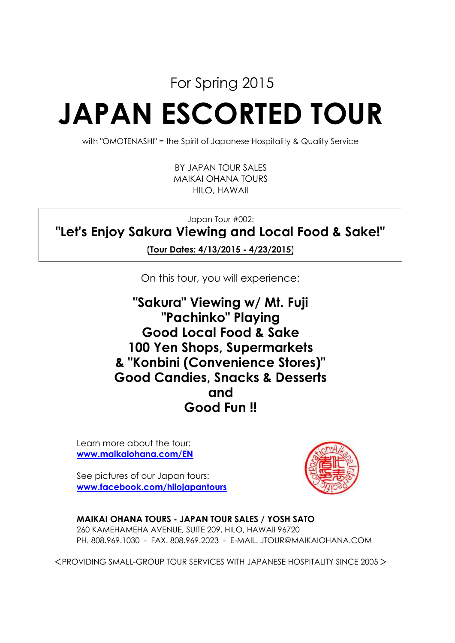For Spring 2015

# **JAPAN ESCORTED TOUR**

with "OMOTENASHI" = the Spirit of Japanese Hospitality & Quality Service

HILO, HAWAII MAIKAI OHANA TOURS BY JAPAN TOUR SALES

Japan Tour #002:

**"Let's Enjoy Sakura Viewing and Local Food & Sake!"**

**(Tour Dates: 4/13/2015 - 4/23/2015)**

On this tour, you will experience:

**100 Yen Shops, Supermarkets Good Fun !! and Good Candies, Snacks & Desserts & "Konbini (Convenience Stores)" "Pachinko" Playing Good Local Food & Sake "Sakura" Viewing w/ Mt. Fuji**

Learn more about the tour: **www.maikaiohana.com/EN**

See pictures of our Japan tours: **www.facebook.com/hilojapantours**



**MAIKAI OHANA TOURS - JAPAN TOUR SALES / YOSH SATO** 260 KAMEHAMEHA AVENUE, SUITE 209, HILO, HAWAII 96720

PH. 808.969.1030 - FAX. 808.969.2023 - E-MAIL. JTOUR@MAIKAIOHANA.COM

<PROVIDING SMALL-GROUP TOUR SERVICES WITH JAPANESE HOSPITALITY SINCE 2005>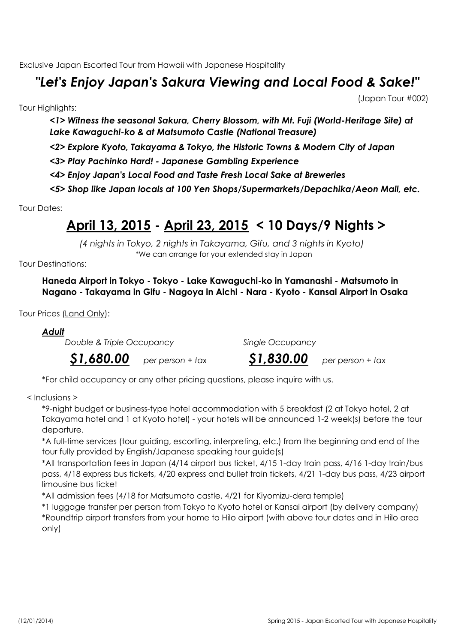Exclusive Japan Escorted Tour from Hawaii with Japanese Hospitality

# *"Let's Enjoy Japan's Sakura Viewing and Local Food & Sake!"*

Tour Highlights:

(Japan Tour #002)

*<1> Witness the seasonal Sakura, Cherry Blossom, with Mt. Fuji (World-Heritage Site) at Lake Kawaguchi-ko & at Matsumoto Castle (National Treasure)*

*<2> Explore Kyoto, Takayama & Tokyo, the Historic Towns & Modern City of Japan*

*<3> Play Pachinko Hard! - Japanese Gambling Experience*

*<4> Enjoy Japan's Local Food and Taste Fresh Local Sake at Breweries*

*<5> Shop like Japan locals at 100 Yen Shops/Supermarkets/Depachika/Aeon Mall, etc.*

Tour Dates:

# **April 13, 2015 - April 23, 2015 < 10 Days/9 Nights >**

\*We can arrange for your extended stay in Japan *(4 nights in Tokyo, 2 nights in Takayama, Gifu, and 3 nights in Kyoto)*

Tour Destinations:

**Haneda Airport in Tokyo - Tokyo - Lake Kawaguchi-ko in Yamanashi - Matsumoto in Nagano - Takayama in Gifu - Nagoya in Aichi - Nara - Kyoto - Kansai Airport in Osaka**

Tour Prices (Land Only):

*Adult*

*Double & Triple Occupancy Single Occupancy*

*\$1,680.00* per person + tax

*per person + tax \$1,830.00 per person + tax*

\*For child occupancy or any other pricing questions, please inquire with us.

< Inclusions >

\*9-night budget or business-type hotel accommodation with 5 breakfast (2 at Tokyo hotel, 2 at Takayama hotel and 1 at Kyoto hotel) - your hotels will be announced 1-2 week(s) before the tour departure.

\*A full-time services (tour guiding, escorting, interpreting, etc.) from the beginning and end of the tour fully provided by English/Japanese speaking tour guide(s)

\*All transportation fees in Japan (4/14 airport bus ticket, 4/15 1-day train pass, 4/16 1-day train/bus pass, 4/18 express bus tickets, 4/20 express and bullet train tickets, 4/21 1-day bus pass, 4/23 airport limousine bus ticket

\*All admission fees (4/18 for Matsumoto castle, 4/21 for Kiyomizu-dera temple)

\*1 luggage transfer per person from Tokyo to Kyoto hotel or Kansai airport (by delivery company) \*Roundtrip airport transfers from your home to Hilo airport (with above tour dates and in Hilo area only)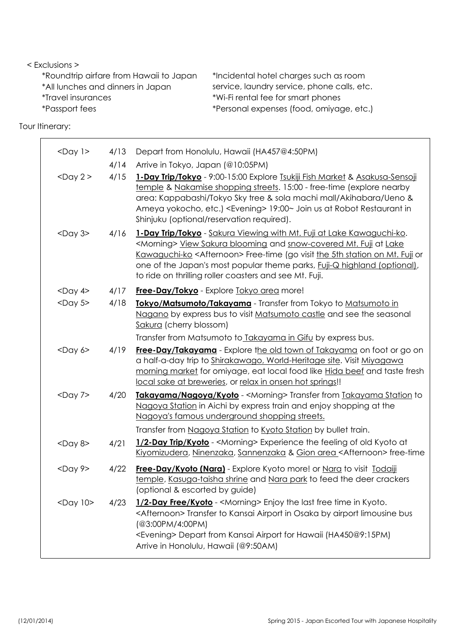#### < Exclusions >

| *Roundtrip airfare from Hawaii to Japan | *Incidental hotel charges such as room      |
|-----------------------------------------|---------------------------------------------|
| *All lunches and dinners in Japan       | service, laundry service, phone calls, etc. |
| <i>*Travel insurances</i>               | *Wi-Fi rental fee for smart phones          |
| <i>*Passport fees</i>                   | *Personal expenses (food, omiyage, etc.)    |

Tour Itinerary:

| $<$ Day $1>$   | 4/13 | Depart from Honolulu, Hawaii (HA457@4:50PM)                                                                                                                                                                                                                                                                                                                                                    |
|----------------|------|------------------------------------------------------------------------------------------------------------------------------------------------------------------------------------------------------------------------------------------------------------------------------------------------------------------------------------------------------------------------------------------------|
|                | 4/14 | Arrive in Tokyo, Japan (@10:05PM)                                                                                                                                                                                                                                                                                                                                                              |
| $<$ Day 2 $>$  | 4/15 | 1-Day Trip/Tokyo - 9:00-15:00 Explore Tsukiji Fish Market & Asakusa-Sensoji<br>temple & Nakamise shopping streets. 15:00 - free-time (explore nearby<br>area: Kappabashi/Tokyo Sky tree & sola machi mall/Akihabara/Ueno &<br>Ameya yokocho, etc.) <evening> 19:00~ Join us at Robot Restaurant in<br/>Shinjuku (optional/reservation required).</evening>                                     |
| $<$ Day 3 $>$  | 4/16 | 1-Day Trip/Tokyo - Sakura Viewing with Mt. Fuji at Lake Kawaguchi-ko.<br><morning> View Sakura blooming and snow-covered Mt. Fuji at Lake<br/>Kawaguchi-ko <afternoon> Free-time (go visit the 5th station on Mt. Fuji or<br/>one of the Japan's most popular theme parks, <i>Fuji-Q highland (optional)</i>,<br/>to ride on thrilling roller coasters and see Mt. Fuji.</afternoon></morning> |
| $<$ Day 4>     | 4/17 | <b>Free-Day/Tokyo</b> - Explore Tokyo area more!                                                                                                                                                                                                                                                                                                                                               |
| $<$ Day 5 $>$  | 4/18 | Tokyo/Matsumoto/Takayama - Transfer from Tokyo to Matsumoto in<br>Nagano by express bus to visit Matsumoto castle and see the seasonal<br>Sakura (cherry blossom)                                                                                                                                                                                                                              |
|                |      | Transfer from Matsumoto to Takayama in Gifu by express bus.                                                                                                                                                                                                                                                                                                                                    |
| $<$ Day $6$ >  | 4/19 | Free-Day/Takayama - Explore the old town of Takayama on foot or go on<br>a half-a-day trip to Shirakawago, World-Heritage site. Visit Miyagawa<br>morning market for omiyage, eat local food like Hida beef and taste fresh<br>local sake at breweries, or relax in onsen hot springs!!                                                                                                        |
| $<$ Day 7>     | 4/20 | Takayama/Nagoya/Kyoto - <morning> Transfer from Takayama Station to<br/>Nagoya Station in Aichi by express train and enjoy shopping at the<br/>Nagoya's famous underground shopping streets.</morning>                                                                                                                                                                                         |
|                |      | Transfer from Nagoya Station to Kyoto Station by bullet train.                                                                                                                                                                                                                                                                                                                                 |
| $<$ Day 8>     | 4/21 | 1/2-Day Trip/Kyoto - <morning> Experience the feeling of old Kyoto at<br/>Kiyomizudera, Ninenzaka, Sannenzaka &amp; Gion area <afternoon> free-time</afternoon></morning>                                                                                                                                                                                                                      |
| $<$ Day 9>     | 4/22 | Free-Day/Kyoto (Nara) - Explore Kyoto more! or Nara to visit Todaiji<br>temple, Kasuga-taisha shrine and Nara park to feed the deer crackers<br>(optional & escorted by guide)                                                                                                                                                                                                                 |
| $<$ Day $10$ > | 4/23 | 1/2-Day Free/Kyoto - <morning> Enjoy the last free time in Kyoto.<br/><afternoon> Transfer to Kansai Airport in Osaka by airport limousine bus<br/>(@3:00PM/4:00PM)<br/><evening> Depart from Kansai Airport for Hawaii (HA450@9:15PM)<br/>Arrive in Honolulu, Hawaii (@9:50AM)</evening></afternoon></morning>                                                                                |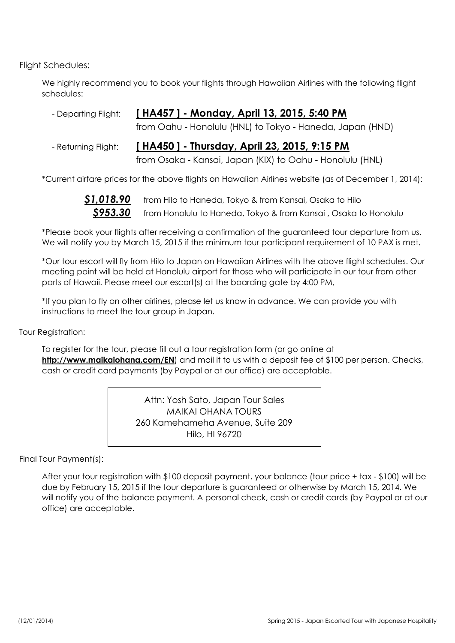Flight Schedules:

We highly recommend you to book your flights through Hawaiian Airlines with the following flight schedules:

| - Departing Flight: [HA457] - Monday, April 13, 2015, 5:40 PM |
|---------------------------------------------------------------|
| from Oahu - Honolulu (HNL) to Tokyo - Haneda, Japan (HND)     |
|                                                               |

#### **[ HA450 ] - Thursday, April 23, 2015, 9:15 PM** - Returning Flight:

from Osaka - Kansai, Japan (KIX) to Oahu - Honolulu (HNL)

\*Current airfare prices for the above flights on Hawaiian Airlines website (as of December 1, 2014):



\*Please book your flights after receiving a confirmation of the guaranteed tour departure from us. We will notify you by March 15, 2015 if the minimum tour participant requirement of 10 PAX is met.

\*Our tour escort will fly from Hilo to Japan on Hawaiian Airlines with the above flight schedules. Our meeting point will be held at Honolulu airport for those who will participate in our tour from other parts of Hawaii. Please meet our escort(s) at the boarding gate by 4:00 PM,

\*If you plan to fly on other airlines, please let us know in advance. We can provide you with instructions to meet the tour group in Japan.

Tour Registration:

To register for the tour, please fill out a tour registration form (or go online at http://www.maikaiohana.com/EN) and mail it to us with a deposit fee of \$100 per person. Checks, cash or credit card payments (by Paypal or at our office) are acceptable.

> MAIKAI OHANA TOURS Hilo, HI 96720 Attn: Yosh Sato, Japan Tour Sales 260 Kamehameha Avenue, Suite 209

Final Tour Payment(s):

After your tour registration with \$100 deposit payment, your balance (tour price + tax - \$100) will be due by February 15, 2015 if the tour departure is guaranteed or otherwise by March 15, 2014. We will notify you of the balance payment. A personal check, cash or credit cards (by Paypal or at our office) are acceptable.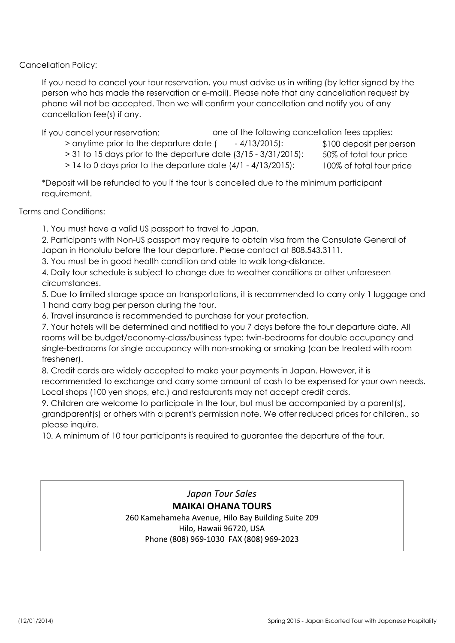Cancellation Policy:

If you need to cancel your tour reservation, you must advise us in writing (by letter signed by the person who has made the reservation or e-mail). Please note that any cancellation request by phone will not be accepted. Then we will confirm your cancellation and notify you of any cancellation fee(s) if any.

If you cancel your reservation: one of the following cancellation fees applies:

- $>$  anytime prior to the departure date ( $=$  4/13/2015):
- 50% of total tour price > 31 to 15 days prior to the departure date (3/15 - 3/31/2015):

100% of total tour price  $> 14$  to 0 days prior to the departure date  $(4/1 - 4/13/2015)$ :

\*Deposit will be refunded to you if the tour is cancelled due to the minimum participant requirement.

Terms and Conditions:

1. You must have a valid US passport to travel to Japan.

2. Participants with Non-US passport may require to obtain visa from the Consulate General of Japan in Honolulu before the tour departure. Please contact at 808.543.3111.

3. You must be in good health condition and able to walk long-distance.

4. Daily tour schedule is subject to change due to weather conditions or other unforeseen circumstances.

5. Due to limited storage space on transportations, it is recommended to carry only 1 luggage and 1 hand carry bag per person during the tour.

6. Travel insurance is recommended to purchase for your protection.

7. Your hotels will be determined and notified to you 7 days before the tour departure date. All rooms will be budget/economy-class/business type: twin-bedrooms for double occupancy and single-bedrooms for single occupancy with non-smoking or smoking (can be treated with room freshener).

8. Credit cards are widely accepted to make your payments in Japan. However, it is recommended to exchange and carry some amount of cash to be expensed for your own needs. Local shops (100 yen shops, etc.) and restaurants may not accept credit cards.

9. Children are welcome to participate in the tour, but must be accompanied by a parent(s), grandparent(s) or others with a parent's permission note. We offer reduced prices for children., so please inquire.

10. A minimum of 10 tour participants is required to guarantee the departure of the tour.

*Japan Tour Sales* **MAIKAI OHANA TOURS** 260 Kamehameha Avenue, Hilo Bay Building Suite 209 Hilo, Hawaii 96720, USA Phone (808) 969-1030 FAX (808) 969-2023

\$100 deposit per person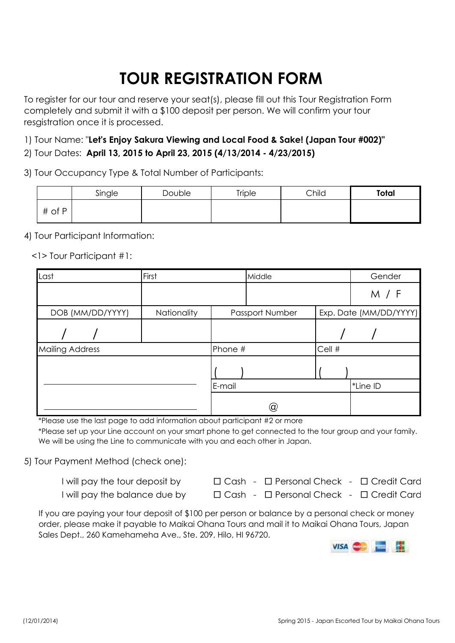# **TOUR REGISTRATION FORM**

To register for our tour and reserve your seat(s), please fill out this Tour Registration Form completely and submit it with a \$100 deposit per person. We will confirm your tour resgistration once it is processed.

1) Tour Name: "**Let's Enjoy Sakura Viewing and Local Food & Sake! (Japan Tour #002)"** 2) Tour Dates: **April 13, 2015 to April 23, 2015 (4/13/2014 - 4/23/2015)**

3) Tour Occupancy Type & Total Number of Participants:

|        | Single | <b>Double</b> | <b>Triple</b> | Child | Total |
|--------|--------|---------------|---------------|-------|-------|
| # of P |        |               |               |       |       |

4) Tour Participant Information:

<1> Tour Participant #1:

| Last                   | First       |         | Middle          |        | Gender                 |
|------------------------|-------------|---------|-----------------|--------|------------------------|
|                        |             |         |                 |        | M / F                  |
| DOB (MM/DD/YYYY)       | Nationality |         | Passport Number |        | Exp. Date (MM/DD/YYYY) |
|                        |             |         |                 |        |                        |
| <b>Mailing Address</b> |             | Phone # |                 | Cell # |                        |
|                        |             |         |                 |        |                        |
|                        |             | E-mail  |                 |        | *Line ID               |
|                        |             |         | $^\copyright$   |        |                        |

\*Please use the last page to add information about participant #2 or more

\*Please set up your Line account on your smart phone to get connected to the tour group and your family. We will be using the Line to communicate with you and each other in Japan.

5) Tour Payment Method (check one):

| I will pay the tour deposit by | $\Box$ Cash - $\Box$ Personal Check - $\Box$ Credit Card |  |
|--------------------------------|----------------------------------------------------------|--|
| I will pay the balance due by  | $\Box$ Cash - $\Box$ Personal Check - $\Box$ Credit Card |  |

If you are paying your tour deposit of \$100 per person or balance by a personal check or money order, please make it payable to Maikai Ohana Tours and mail it to Maikai Ohana Tours, Japan Sales Dept., 260 Kamehameha Ave., Ste. 209, Hilo, HI 96720.

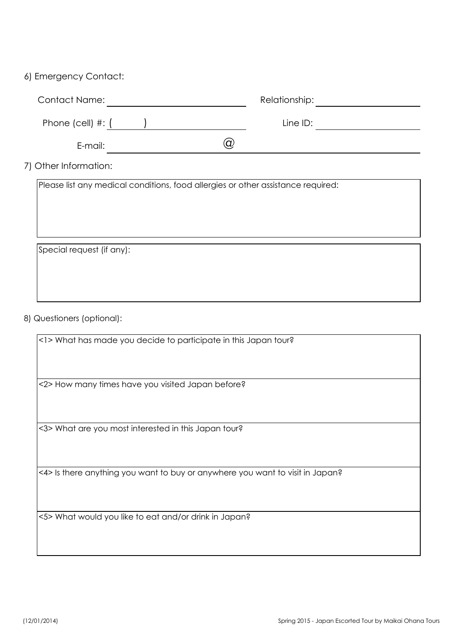#### 6) Emergency Contact:

| <b>Contact Name:</b>    | Relationship: |  |
|-------------------------|---------------|--|
| Phone (cell) $\#$ : $($ | Line ID:      |  |
| E-mail:                 |               |  |

7) Other Information:

Please list any medical conditions, food allergies or other assistance required:

Special request (if any):

#### 8) Questioners (optional):

<1> What has made you decide to participate in this Japan tour?

<2> How many times have you visited Japan before?

<3> What are you most interested in this Japan tour?

<4> Is there anything you want to buy or anywhere you want to visit in Japan?

<5> What would you like to eat and/or drink in Japan?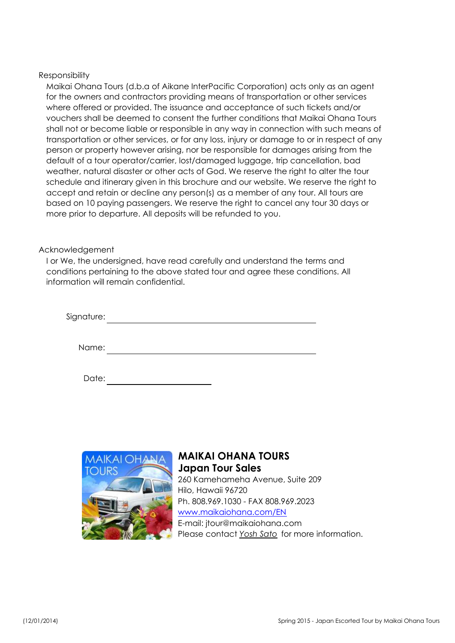#### Responsibility

Maikai Ohana Tours (d.b.a of Aikane InterPacific Corporation) acts only as an agent for the owners and contractors providing means of transportation or other services where offered or provided. The issuance and acceptance of such tickets and/or vouchers shall be deemed to consent the further conditions that Maikai Ohana Tours shall not or become liable or responsible in any way in connection with such means of transportation or other services, or for any loss, injury or damage to or in respect of any person or property however arising, nor be responsible for damages arising from the default of a tour operator/carrier, lost/damaged luggage, trip cancellation, bad weather, natural disaster or other acts of God. We reserve the right to alter the tour schedule and itinerary given in this brochure and our website. We reserve the right to accept and retain or decline any person(s) as a member of any tour. All tours are based on 10 paying passengers. We reserve the right to cancel any tour 30 days or more prior to departure. All deposits will be refunded to you.

#### Acknowledgement

I or We, the undersigned, have read carefully and understand the terms and conditions pertaining to the above stated tour and agree these conditions. All information will remain confidential.

| Signature: |  |  |  |
|------------|--|--|--|
|            |  |  |  |
| Name:      |  |  |  |

| Date: |  |  |  |  |
|-------|--|--|--|--|
|-------|--|--|--|--|



#### **MAIKAI OHANA TOURS Japan Tour Sales** 260 Kamehameha Avenue, Suite 209 Hilo, Hawaii 96720 Ph. 808.969.1030 - FAX 808.969.2023 www.maikaiohana.com/EN E-mail: jtour@maikaiohana.com Please contact *Yosh Sato* for more information.